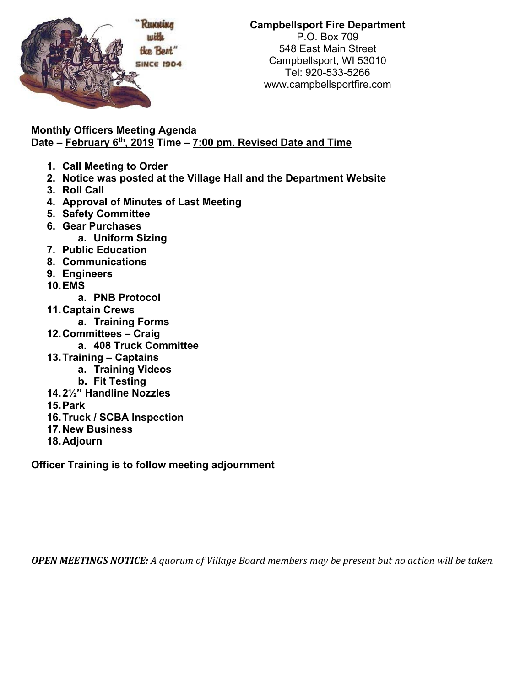

## **Campbellsport Fire Department**  P.O. Box 709 548 East Main Street Campbellsport, WI 53010 Tel: 920-533-5266 www.campbellsportfire.com

**Monthly Officers Meeting Agenda Date – February 6th, 2019 Time – 7:00 pm. Revised Date and Time** 

- **1. Call Meeting to Order**
- **2. Notice was posted at the Village Hall and the Department Website**
- **3. Roll Call**
- **4. Approval of Minutes of Last Meeting**
- **5. Safety Committee**
- **6. Gear Purchases** 
	- **a. Uniform Sizing**
- **7. Public Education**
- **8. Communications**
- **9. Engineers**
- **10. EMS** 
	- **a. PNB Protocol**
- **11. Captain Crews** 
	- **a. Training Forms**
- **12. Committees Craig** 
	- **a. 408 Truck Committee**
- **13. Training Captains** 
	- **a. Training Videos** 
		- **b. Fit Testing**
- **14. 2½" Handline Nozzles**
- **15. Park**
- **16. Truck / SCBA Inspection**
- **17. New Business**
- **18. Adjourn**

**Officer Training is to follow meeting adjournment** 

**OPEN MEETINGS NOTICE:** A quorum of Village Board members may be present but no action will be taken.